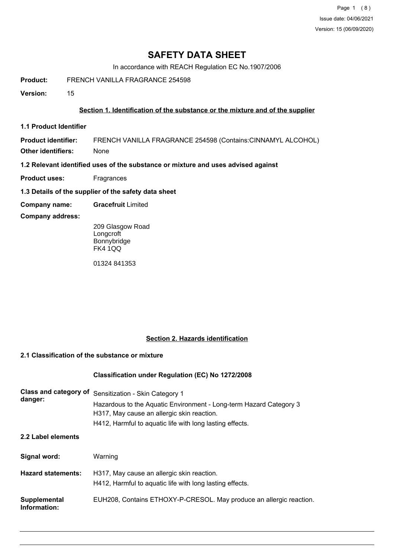Page 1 (8) Issue date: 04/06/2021 Version: 15 (06/09/2020)

# **SAFETY DATA SHEET**

In accordance with REACH Regulation EC No.1907/2006

**Product:** FRENCH VANILLA FRAGRANCE 254598

**Version:** 15

### **Section 1. Identification of the substance or the mixture and of the supplier**

**1.1 Product Identifier**

**Product identifier:** FRENCH VANILLA FRAGRANCE 254598 (Contains:CINNAMYL ALCOHOL)

**Other identifiers:** None

**1.2 Relevant identified uses of the substance or mixture and uses advised against**

- **Product uses:** Fragrances
- **1.3 Details of the supplier of the safety data sheet**
- **Company name: Gracefruit** Limited

#### **Company address:**

209 Glasgow Road **Longcroft** Bonnybridge FK4 1QQ

01324 841353

# **Section 2. Hazards identification**

#### **2.1 Classification of the substance or mixture**

#### **Classification under Regulation (EC) No 1272/2008**

| Class and category of<br>danger: | Sensitization - Skin Category 1<br>Hazardous to the Aquatic Environment - Long-term Hazard Category 3<br>H317, May cause an allergic skin reaction.<br>H412, Harmful to aquatic life with long lasting effects. |
|----------------------------------|-----------------------------------------------------------------------------------------------------------------------------------------------------------------------------------------------------------------|
| 2.2 Label elements               |                                                                                                                                                                                                                 |
| Signal word:                     | Warning                                                                                                                                                                                                         |
| <b>Hazard statements:</b>        | H317, May cause an allergic skin reaction.<br>H412, Harmful to aquatic life with long lasting effects.                                                                                                          |
| Supplemental<br>Information:     | EUH208, Contains ETHOXY-P-CRESOL. May produce an allergic reaction.                                                                                                                                             |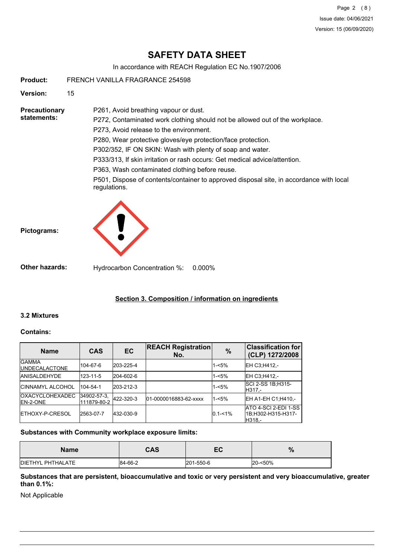Page 2 (8) Issue date: 04/06/2021 Version: 15 (06/09/2020)

# **SAFETY DATA SHEET**

In accordance with REACH Regulation EC No.1907/2006

**Product:** FRENCH VANILLA FRAGRANCE 254598

**Version:** 15

**Precautionary statements:**

P272, Contaminated work clothing should not be allowed out of the workplace. P273, Avoid release to the environment. P280, Wear protective gloves/eye protection/face protection.

P302/352, IF ON SKIN: Wash with plenty of soap and water.

P333/313, If skin irritation or rash occurs: Get medical advice/attention.

P363, Wash contaminated clothing before reuse.

P261, Avoid breathing vapour or dust.

P501, Dispose of contents/container to approved disposal site, in accordance with local regulations.





**Other hazards:** Hydrocarbon Concentration %: 0.000%

# **Section 3. Composition / information on ingredients**

## **3.2 Mixtures**

#### **Contains:**

| <b>Name</b>                                 | <b>CAS</b>                 | EC        | <b>REACH Registration</b><br>No. | $\%$        | <b>Classification for</b><br>(CLP) 1272/2008         |
|---------------------------------------------|----------------------------|-----------|----------------------------------|-------------|------------------------------------------------------|
| <b>IGAMMA</b><br><b>IUNDECALACTONE</b>      | 104-67-6                   | 203-225-4 |                                  | $1 - 5%$    | EH C3:H412.-                                         |
| <b>JANISALDEHYDE</b>                        | 123-11-5                   | 204-602-6 |                                  | $1 - 5%$    | EH C3;H412,-                                         |
| <b>ICINNAMYL ALCOHOL</b>                    | 104-54-1                   | 203-212-3 |                                  | $1 - 5%$    | SCI 2-SS 1B; H315-<br>H317.-                         |
| <b>IOXACYCLOHEXADEC</b><br><b>IEN-2-ONE</b> | 34902-57-3.<br>111879-80-2 | 422-320-3 | 01-0000016883-62-xxxx            | $1 - 5%$    | EH A1-EH C1;H410,-                                   |
| <b>IETHOXY-P-CRESOL</b>                     | 2563-07-7                  | 432-030-9 |                                  | $0.1 - 1\%$ | ATO 4-SCI 2-EDI 1-SS<br>1B;H302-H315-H317-<br>H318.- |

#### **Substances with Community workplace exposure limits:**

| <b>Name</b>       | CAS     | EC        | %       |
|-------------------|---------|-----------|---------|
| DIETHYL PHTHALATE | 84-66-2 | 201-550-6 | 20-<50% |

#### **Substances that are persistent, bioaccumulative and toxic or very persistent and very bioaccumulative, greater than 0.1%:**

Not Applicable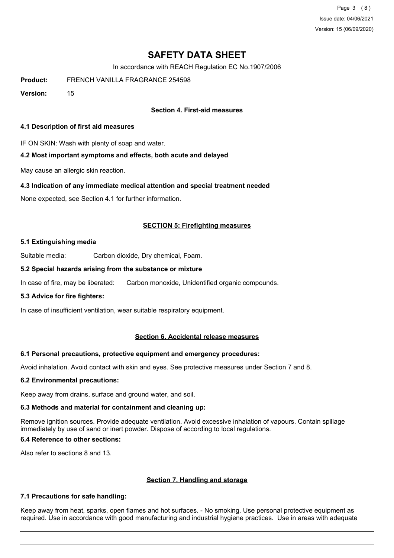Page 3 (8) Issue date: 04/06/2021 Version: 15 (06/09/2020)

# **SAFETY DATA SHEET**

In accordance with REACH Regulation EC No.1907/2006

**Product:** FRENCH VANILLA FRAGRANCE 254598

**Version:** 15

## **Section 4. First-aid measures**

#### **4.1 Description of first aid measures**

IF ON SKIN: Wash with plenty of soap and water.

#### **4.2 Most important symptoms and effects, both acute and delayed**

May cause an allergic skin reaction.

#### **4.3 Indication of any immediate medical attention and special treatment needed**

None expected, see Section 4.1 for further information.

#### **SECTION 5: Firefighting measures**

#### **5.1 Extinguishing media**

Suitable media: Carbon dioxide, Dry chemical, Foam.

#### **5.2 Special hazards arising from the substance or mixture**

In case of fire, may be liberated: Carbon monoxide, Unidentified organic compounds.

#### **5.3 Advice for fire fighters:**

In case of insufficient ventilation, wear suitable respiratory equipment.

#### **Section 6. Accidental release measures**

#### **6.1 Personal precautions, protective equipment and emergency procedures:**

Avoid inhalation. Avoid contact with skin and eyes. See protective measures under Section 7 and 8.

#### **6.2 Environmental precautions:**

Keep away from drains, surface and ground water, and soil.

#### **6.3 Methods and material for containment and cleaning up:**

Remove ignition sources. Provide adequate ventilation. Avoid excessive inhalation of vapours. Contain spillage immediately by use of sand or inert powder. Dispose of according to local regulations.

## **6.4 Reference to other sections:**

Also refer to sections 8 and 13.

#### **Section 7. Handling and storage**

#### **7.1 Precautions for safe handling:**

Keep away from heat, sparks, open flames and hot surfaces. - No smoking. Use personal protective equipment as required. Use in accordance with good manufacturing and industrial hygiene practices. Use in areas with adequate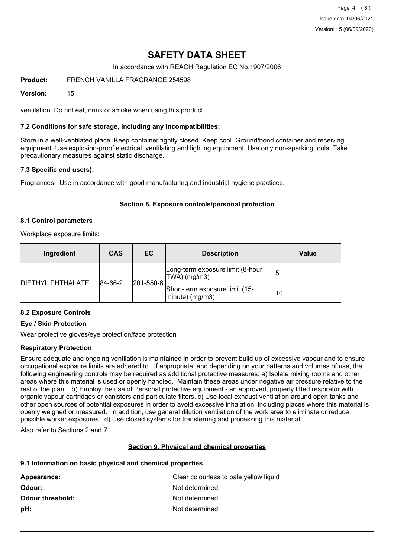Page 4 (8) Issue date: 04/06/2021 Version: 15 (06/09/2020)

# **SAFETY DATA SHEET**

In accordance with REACH Regulation EC No.1907/2006

**Product:** FRENCH VANILLA FRAGRANCE 254598

#### **Version:** 15

ventilation Do not eat, drink or smoke when using this product.

#### **7.2 Conditions for safe storage, including any incompatibilities:**

Store in a well-ventilated place. Keep container tightly closed. Keep cool. Ground/bond container and receiving equipment. Use explosion-proof electrical, ventilating and lighting equipment. Use only non-sparking tools. Take precautionary measures against static discharge.

#### **7.3 Specific end use(s):**

Fragrances: Use in accordance with good manufacturing and industrial hygiene practices.

#### **Section 8. Exposure controls/personal protection**

#### **8.1 Control parameters**

Workplace exposure limits:

| Ingredient                | <b>CAS</b> | EC        | <b>Description</b>                                          | Value |
|---------------------------|------------|-----------|-------------------------------------------------------------|-------|
| <b>IDIETHYL PHTHALATE</b> | 84-66-2    | 201-550-6 | Long-term exposure limit (8-hour<br>TWA) (mg/m3)            | 15    |
|                           |            |           | Short-term exposure limit (15-<br>10<br>$ $ minute) (mg/m3) |       |

# **8.2 Exposure Controls**

### **Eye / Skin Protection**

Wear protective gloves/eye protection/face protection

#### **Respiratory Protection**

Ensure adequate and ongoing ventilation is maintained in order to prevent build up of excessive vapour and to ensure occupational exposure limits are adhered to. If appropriate, and depending on your patterns and volumes of use, the following engineering controls may be required as additional protective measures: a) Isolate mixing rooms and other areas where this material is used or openly handled. Maintain these areas under negative air pressure relative to the rest of the plant. b) Employ the use of Personal protective equipment - an approved, properly fitted respirator with organic vapour cartridges or canisters and particulate filters. c) Use local exhaust ventilation around open tanks and other open sources of potential exposures in order to avoid excessive inhalation, including places where this material is openly weighed or measured. In addition, use general dilution ventilation of the work area to eliminate or reduce possible worker exposures. d) Use closed systems for transferring and processing this material.

Also refer to Sections 2 and 7.

## **Section 9. Physical and chemical properties**

#### **9.1 Information on basic physical and chemical properties**

| Appearance:             | Clear colourless to pale yellow liquid |
|-------------------------|----------------------------------------|
| Odour:                  | Not determined                         |
| <b>Odour threshold:</b> | Not determined                         |
| pH:                     | Not determined                         |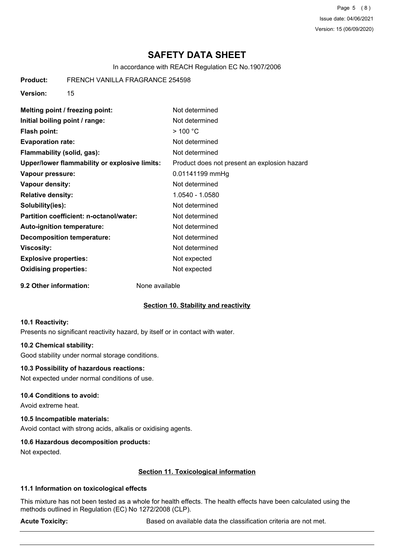Page 5 (8) Issue date: 04/06/2021 Version: 15 (06/09/2020)

# **SAFETY DATA SHEET**

In accordance with REACH Regulation EC No.1907/2006

**Product:** FRENCH VANILLA FRAGRANCE 254598

**Version:** 15

| Melting point / freezing point:               | Not determined                               |
|-----------------------------------------------|----------------------------------------------|
| Initial boiling point / range:                | Not determined                               |
| <b>Flash point:</b>                           | $>$ 100 °C                                   |
| <b>Evaporation rate:</b>                      | Not determined                               |
| Flammability (solid, gas):                    | Not determined                               |
| Upper/lower flammability or explosive limits: | Product does not present an explosion hazard |
| Vapour pressure:                              | 0.01141199 mmHg                              |
| Vapour density:                               | Not determined                               |
| <b>Relative density:</b>                      | 1.0540 - 1.0580                              |
| Solubility(ies):                              | Not determined                               |
| Partition coefficient: n-octanol/water:       | Not determined                               |
| Auto-ignition temperature:                    | Not determined                               |
| <b>Decomposition temperature:</b>             | Not determined                               |
| <b>Viscosity:</b>                             | Not determined                               |
| <b>Explosive properties:</b>                  | Not expected                                 |
| <b>Oxidising properties:</b>                  | Not expected                                 |

**9.2 Other information:** None available

#### **Section 10. Stability and reactivity**

#### **10.1 Reactivity:**

Presents no significant reactivity hazard, by itself or in contact with water.

#### **10.2 Chemical stability:**

Good stability under normal storage conditions.

#### **10.3 Possibility of hazardous reactions:**

Not expected under normal conditions of use.

#### **10.4 Conditions to avoid:**

Avoid extreme heat.

#### **10.5 Incompatible materials:**

Avoid contact with strong acids, alkalis or oxidising agents.

#### **10.6 Hazardous decomposition products:**

Not expected.

#### **Section 11. Toxicological information**

#### **11.1 Information on toxicological effects**

This mixture has not been tested as a whole for health effects. The health effects have been calculated using the methods outlined in Regulation (EC) No 1272/2008 (CLP).

Acute Toxicity: **Acute Toxicity:** Based on available data the classification criteria are not met.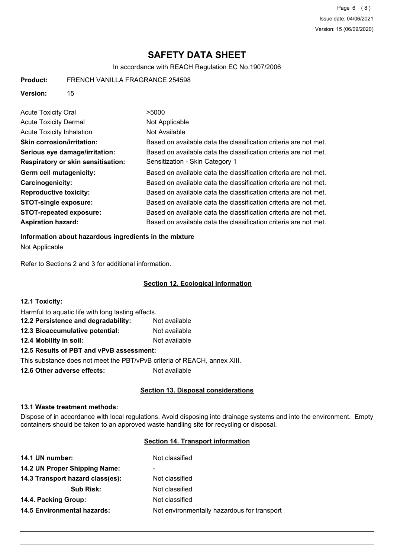Page 6 (8) Issue date: 04/06/2021 Version: 15 (06/09/2020)

# **SAFETY DATA SHEET**

In accordance with REACH Regulation EC No.1907/2006

**Product:** FRENCH VANILLA FRAGRANCE 254598

**Version:** 15

| <b>Acute Toxicity Oral</b>                | >5000                                                            |
|-------------------------------------------|------------------------------------------------------------------|
| <b>Acute Toxicity Dermal</b>              | Not Applicable                                                   |
| <b>Acute Toxicity Inhalation</b>          | Not Available                                                    |
| <b>Skin corrosion/irritation:</b>         | Based on available data the classification criteria are not met. |
| Serious eye damage/irritation:            | Based on available data the classification criteria are not met. |
| <b>Respiratory or skin sensitisation:</b> | Sensitization - Skin Category 1                                  |
| Germ cell mutagenicity:                   | Based on available data the classification criteria are not met. |
| <b>Carcinogenicity:</b>                   | Based on available data the classification criteria are not met. |
| <b>Reproductive toxicity:</b>             | Based on available data the classification criteria are not met. |
| <b>STOT-single exposure:</b>              | Based on available data the classification criteria are not met. |
| <b>STOT-repeated exposure:</b>            | Based on available data the classification criteria are not met. |
| <b>Aspiration hazard:</b>                 | Based on available data the classification criteria are not met. |

#### **Information about hazardous ingredients in the mixture**

Not Applicable

Refer to Sections 2 and 3 for additional information.

#### **Section 12. Ecological information**

| <b>12.1 Toxicity:</b>                                                    |               |
|--------------------------------------------------------------------------|---------------|
| Harmful to aquatic life with long lasting effects.                       |               |
| 12.2 Persistence and degradability:                                      | Not available |
| 12.3 Bioaccumulative potential:                                          | Not available |
| 12.4 Mobility in soil:                                                   | Not available |
| 12.5 Results of PBT and vPvB assessment:                                 |               |
| This substance does not meet the PBT/vPvB criteria of REACH, annex XIII. |               |
|                                                                          |               |

**12.6 Other adverse effects:** Not available

# **Section 13. Disposal considerations**

#### **13.1 Waste treatment methods:**

Dispose of in accordance with local regulations. Avoid disposing into drainage systems and into the environment. Empty containers should be taken to an approved waste handling site for recycling or disposal.

#### **Section 14. Transport information**

| Not classified                              |
|---------------------------------------------|
| $\overline{\phantom{0}}$                    |
| Not classified                              |
| Not classified                              |
| Not classified                              |
| Not environmentally hazardous for transport |
|                                             |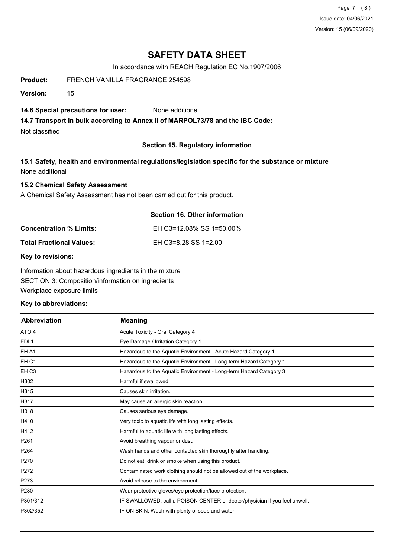Page 7 (8) Issue date: 04/06/2021 Version: 15 (06/09/2020)

# **SAFETY DATA SHEET**

In accordance with REACH Regulation EC No.1907/2006

**Product:** FRENCH VANILLA FRAGRANCE 254598

**Version:** 15

### **14.6 Special precautions for user:** None additional

**14.7 Transport in bulk according to Annex II of MARPOL73/78 and the IBC Code:**

Not classified

## **Section 15. Regulatory information**

# **15.1 Safety, health and environmental regulations/legislation specific for the substance or mixture** None additional

# **15.2 Chemical Safety Assessment**

A Chemical Safety Assessment has not been carried out for this product.

|                                 | Section 16. Other information |
|---------------------------------|-------------------------------|
| <b>Concentration % Limits:</b>  | EH C3=12.08% SS 1=50.00%      |
| <b>Total Fractional Values:</b> | EH C3=8.28 SS 1=2.00          |

**Key to revisions:**

Information about hazardous ingredients in the mixture SECTION 3: Composition/information on ingredients Workplace exposure limits

## **Key to abbreviations:**

| <b>Abbreviation</b> | <b>Meaning</b>                                                             |
|---------------------|----------------------------------------------------------------------------|
| ATO 4               | Acute Toxicity - Oral Category 4                                           |
| EDI <sub>1</sub>    | Eye Damage / Irritation Category 1                                         |
| <b>EHA1</b>         | Hazardous to the Aquatic Environment - Acute Hazard Category 1             |
| <b>EH C1</b>        | Hazardous to the Aquatic Environment - Long-term Hazard Category 1         |
| <b>IEH C3</b>       | Hazardous to the Aquatic Environment - Long-term Hazard Category 3         |
| H302                | Harmful if swallowed.                                                      |
| H315                | Causes skin irritation.                                                    |
| H317                | May cause an allergic skin reaction.                                       |
| H318                | Causes serious eye damage.                                                 |
| H410                | Very toxic to aquatic life with long lasting effects.                      |
| H412                | Harmful to aquatic life with long lasting effects.                         |
| P261                | Avoid breathing vapour or dust.                                            |
| P264                | Wash hands and other contacted skin thoroughly after handling.             |
| P270                | Do not eat, drink or smoke when using this product.                        |
| P272                | Contaminated work clothing should not be allowed out of the workplace.     |
| P273                | Avoid release to the environment.                                          |
| P280                | Wear protective gloves/eye protection/face protection.                     |
| P301/312            | IF SWALLOWED: call a POISON CENTER or doctor/physician if you feel unwell. |
| P302/352            | IF ON SKIN: Wash with plenty of soap and water.                            |